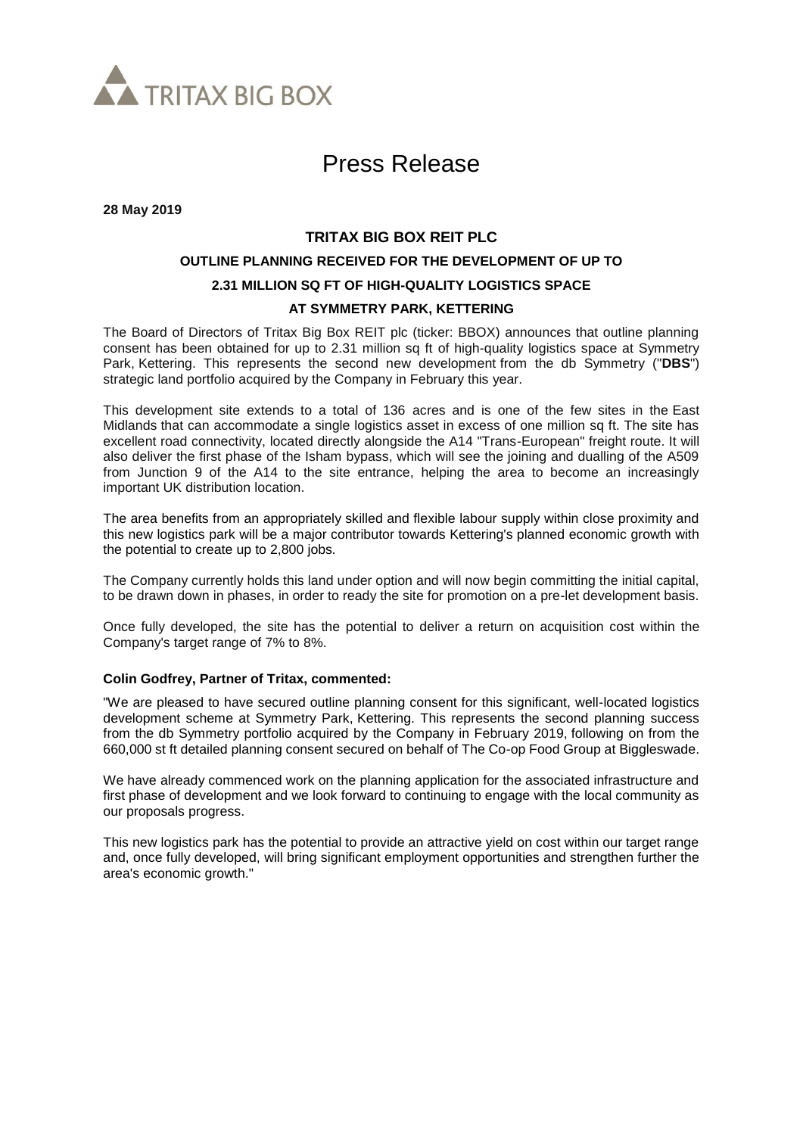

# Press Release

**28 May 2019**

## **TRITAX BIG BOX REIT PLC OUTLINE PLANNING RECEIVED FOR THE DEVELOPMENT OF UP TO 2.31 MILLION SQ FT OF HIGH-QUALITY LOGISTICS SPACE AT SYMMETRY PARK, KETTERING**

The Board of Directors of Tritax Big Box REIT plc (ticker: BBOX) announces that outline planning consent has been obtained for up to 2.31 million sq ft of high-quality logistics space at Symmetry Park, Kettering. This represents the second new development from the db Symmetry ("**DBS**") strategic land portfolio acquired by the Company in February this year.

This development site extends to a total of 136 acres and is one of the few sites in the East Midlands that can accommodate a single logistics asset in excess of one million sq ft. The site has excellent road connectivity, located directly alongside the A14 "Trans-European" freight route. It will also deliver the first phase of the Isham bypass, which will see the joining and dualling of the A509 from Junction 9 of the A14 to the site entrance, helping the area to become an increasingly important UK distribution location.

The area benefits from an appropriately skilled and flexible labour supply within close proximity and this new logistics park will be a major contributor towards Kettering's planned economic growth with the potential to create up to 2,800 jobs*.*

The Company currently holds this land under option and will now begin committing the initial capital, to be drawn down in phases, in order to ready the site for promotion on a pre-let development basis.

Once fully developed, the site has the potential to deliver a return on acquisition cost within the Company's target range of 7% to 8%.

#### **Colin Godfrey, Partner of Tritax, commented:**

"We are pleased to have secured outline planning consent for this significant, well-located logistics development scheme at Symmetry Park, Kettering. This represents the second planning success from the db Symmetry portfolio acquired by the Company in February 2019, following on from the 660,000 st ft detailed planning consent secured on behalf of The Co-op Food Group at Biggleswade.

We have already commenced work on the planning application for the associated infrastructure and first phase of development and we look forward to continuing to engage with the local community as our proposals progress.

This new logistics park has the potential to provide an attractive yield on cost within our target range and, once fully developed, will bring significant employment opportunities and strengthen further the area's economic growth."